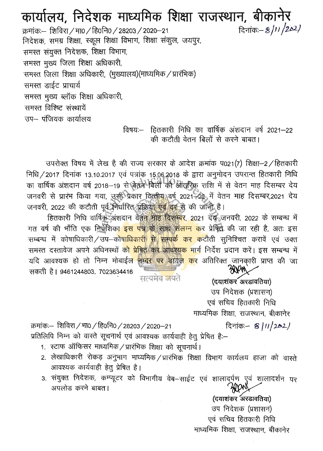# कार्यालय, निदेशक माध्यमिक शिक्षा राजस्थान, बीकानेर

दिनांक :- 8/11/202/ क्रमांकः- शिविरा / मा0 / हि0नि0 / 28203 / 2020–21 निदेशक, समग्र शिक्षा, स्कूल शिक्षा विभाग, शिक्षा संकुल, जयपुर, समस्त संयुक्त निदेशक, शिक्षा विभाग, समस्त मुख्य जिला शिक्षा अधिकारी, समस्त जिला शिक्षा अधिकारी, (मुख्यालय)(माध्यमिक / प्रारंभिक) समस्त डाईट प्राचार्य समस्त मुख्य ब्लॉक शिक्षा अधिकारी, समस्त विश्विष्ट संस्थायें उप– पंजियक कार्यालय

विषयः-- हितकारी निधि का वार्षिक अंशदान वर्ष 2021–22 की कटौती वेतन बिलों से करने बाबत।

उपरोक्त विषय में लेख है की राज्य सरकार के आदेश क्रमांक प021(7) शिक्षा-2/हितकारी निधि / 2017 दिनांक 13.10.2017 एवं पत्रांक 15.06.2018 के द्वारा अनुमोदन उपरान्त हितकारी निधि का वार्षिक अंशदान वर्ष 2018-19 से बेतन बिलों की आंतरिक़ राशि में से वेतन माह दिसम्बर देय जनवरी से प्रारंभ किया गया, उसी प्रकार वित्तीय वर्ष 2021-22 में वेतन माह दिसम्बर,2021 देय जनवरी, 2022 की कटौती पूर्व निर्धारित प्रक्रिया एवं दर से की जानी है।

हितकारी निधि वार्षिक अंशदान वेतन माह दिसम्बर, 2021 देश जनवरी, 2022 के सम्बन्ध में गत वर्ष की भाँति एक निर्देशिका <mark>इस पत्र के साथ संलग्न क</mark>र प्रेषित की जा रही है, अतः इस सम्बन्ध में कोषाधिकारी / उप–को<mark>षाधिकारी से सम्पर्क कर क</mark>टौती सुनिश्चित करावें एवं उक्त समस्त दस्तावेज अपने अधिनस्थों क<mark>ो प्रेषित कर आवश्यक मा</mark>र्ग निर्देश प्रदान करें। इस सम्बन्ध में यदि आवश्यक हो तो निम्न मोबाईल नम्बर पर डायल कर अतिरिक्त जानकारी प्राप्त की जा AVM सकती है। 9461244803, 7023634416 सत्यमेव **ज**यते

(दयाशंकर अरडावतिया) उप निदेशक (प्रशासन) एवं सचिव हितकारी निधि माध्यमिक शिक्षा, राजस्थान, बीकानेर

क्रमांकः- शिविरा / मा0 / हि0नि0 / 28203 / 2020–21 दिनांक - 8/11/2021 प्रतिलिपि निम्न को वास्ते सूचनार्थ एवं आवश्यक कार्यवाही हेतु प्रेषित है:-

- 1. स्टाफ ऑफिसर माध्यमिक / प्रारंभिक शिक्षा को सूचनार्थ।
- 2. लेखाधिकारी रोकड़ अनुभाग माध्यमिक / प्रारंभिक शिक्षा विभाग कार्यलय हाजा को वास्ते आवश्यक कार्यवाही हेतू प्रेषित है।
- 3. संयुक्त निदेशक, कम्प्यूटर को विभागीय वेब-साईट एवं शालादर्पण एवं शालादर्शन पर अपलोड करने बाबत।

(दयाशंकर अरडावतिया) उप निदेशक (प्रशासन) एवं सचिव हितकारी निधि माध्यमिक शिक्षा, राजस्थान, बीकानेर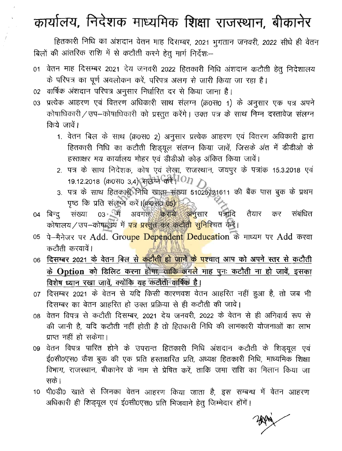# कार्यालय, निदेशक माध्यमिक शिक्षा राजस्थान, बीकानेर

हितकारी निधि का अंशदान वेतन माह दिसम्बर, 2021 भुगतान जनवरी, 2022 सीधे ही वेतन बिलों की आंतरिक राशि में से कटौती करने हेतू मार्ग निर्देश:--

- 01 वेतन माह दिसम्बर 2021 देय जनवरी 2022 हितकारी निधि अंशदान कटौती हेतू निदेशालय के परिपत्र का पूर्ण अवलोकन करें, परिपत्र अलग से जारी किया जा रहा है।
- 02 वार्षिक अंशदान परिपत्र अनुसार निर्धारित दर से किया जाना है।
- 03 प्रत्येक आहरण एवं वितरण अधिकारी साथ संलग्न (क्र0स0 1) के अनुसार एक पत्र अपने कोषाधिकारी / उप-कोषाधिकारी को प्रस्तुत करेंगे। उक्त पत्र के साथ निम्न दस्तावेज संलग्न किये जावें।
	- 1. वेतन बिल के साथ (क्र0स0 2) अनुसार प्रत्येक आहरण एवं वितरण अधिकारी द्वारा हितकारी निधि का कटौती शिड्यूल संलग्न किया जावें, जिसके अंत में डीडीओ के हस्ताक्षर मय कार्यालय मोहर एवं डीडीओ कोड़ अंकित किया जावें।
	- 2. पत्र के साथ निदेशक, कोष एवं लेखा, राजस्थान, जयपुर के पत्रांक 15.3.2018 एवं 19.12.2018 (क्र0स0 3,4) सुलेमे करें 1011
	- 3. पत्र के साथ हितकारी निधि खाता संख्या 51020721611 की बैंक पास बुक के प्रथम पृष्ठ कि प्रति संलेख करें।(क्र0स0 05)
- तैयार 04 बिन्दु संख्या 03 में अवगत कराये अनुसार पत्रादि संबंधित कर कोषालय / उप–कोषालय में <mark>पत्र प्रस्तुत कर कटौती सुनिश्चि</mark>त करें।
- 05 पे-मैनेजर पर Add. Groupe Dependent Deducation के माध्यम पर Add करवा कटौती करवावें।
- 06 दिसम्बर 2021 के वेतन बिल से कटौती हो जाने के पश्चात् आप को अपने स्तर से कटौती के Option को डिलिट करना हो<del>पा, ताकि अ</del>गले माह पुनः कटौती ना हो जावें, इसका विशेष ध्यान रखा जावें, क्योंकि यह कटौती वार्षिक है।
- 07 दिसम्बर 2021 के वेतन से यदि किसी कारणवश वेतन आहरित नहीं हुआ है, तो जब भी दिसम्बर का वेतन आहरित हो उक्त प्रक्रिया से ही कटौती की जावे।
- 08 वेतन विपत्र से कटौती दिसम्बर, 2021 देय जनवरी, 2022 के वेतन से ही अनिवार्य रूप से की जानी है, यदि कटौती नहीं होती है तो हितकारी निधि की लाभकारी योजनाओं का लाभ प्राप्त नहीं हो सकेगा।
- 09 वेतन विपत्र पारित होने के उपरान्त हितकारी निधि अंशदान कटौती के शिड्यूल एवं ई0सी0एस0 कैश बुक की एक प्रति हस्ताक्षरित प्रति, अध्यक्ष हितकारी निधि, माध्यमिक शिक्षा विभाग, राजस्थान, बीकानेर के नाम से प्रेषित करें, ताकि जमा राशि का मिलान किया जा सके।
- 10 पी0डी0 खाते से जिनका वेतन आहरण किया जाता है, इस सम्बन्ध में वेतन आहरण अधिकारी ही शिड्यूल एवं ई0सी0एस0 प्रति भिजवाने हेतू जिम्मेदार होंगें।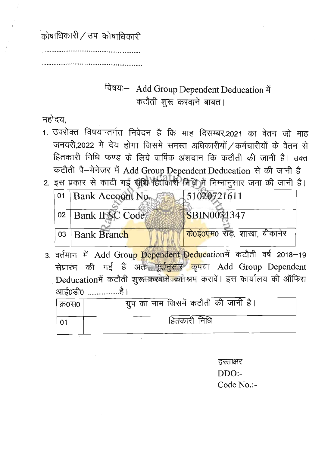कोषाधिकारी / उप) कोषाधिकारी

## विषयः- Add Group Dependent Deducation में कटौती शूरू करवाने बाबत।

महोदय.

- 1. उपरोक्त विषयान्तर्गत निवेदन है कि माह दिसम्बर,2021 का वेतन जो माह जनवरी,2022 में देय होगा जिसमे समस्त अधिकारीयों / कर्मचारीयों के वेतन से हितकारी निधि फण्ड के लिये वार्षिक अंशदान कि कटौती की जानी है। उक्त कटौती पै-मेनेजर में Add Group Dependent Deducation से की जानी है
- 2. इस प्रकार से काटी गई सीप्रे हितकारी निधि में निम्नानुसार जमा की जानी है।

| 01 Bank Account No. | 51020721611                                |
|---------------------|--------------------------------------------|
| 02   Bank IFSC Code | <b>SBIN0031347</b>                         |
| 03   Bank Branch    | <mark>के0ई0एम</mark> 0 रोड़, शाखा, बीकानेर |

3. वर्तमान में Add Group Dependent Deducationमें कटौती वर्ष 2018-19 सेप्रारंभ की गई है अतः पूर्वानुसार कृपया Add Group Dependent Deducationमें कटौती शुरू करवाने का श्रम करावें। इस कार्यालय की ऑफिस आई0डी0 ...................है।

| । क्र0स0। | ग्रुप का नाम जिसमें कटौती की जानी है। |
|-----------|---------------------------------------|
| -01       | हितकारी निधि                          |

हस्ताक्षर  $DDO:$ Code No.:-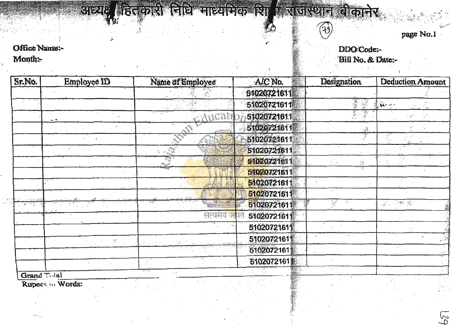# अभ्यः हितकारी विधि आध्यविक थि । राजस्थान बौद

 $\frac{1}{2}$  .

page No.1

 $5<sup>o</sup>$ 

## Office Name DDO Code:<br>Month: Bill No. & I

 $\sim 10^7$ 

# Bill No.& Date:

 $(19)$ 

| Sr.No.      | Employee ID   | Name of Employee | Sur Life:<br>A/C No. | <b>Designation</b>                            | <b>Deduction Amount</b> |
|-------------|---------------|------------------|----------------------|-----------------------------------------------|-------------------------|
|             |               |                  | 51020721611          |                                               |                         |
|             |               |                  | 51020721611          | air<br>$\mathbb{R}$                           | $\mathbf{A}$ .          |
|             | $\cdot$       | $h$ ca           | 51020721611          | 77<br>笑<br>$\mathcal{B}^{\mathcal{A}}$<br>ŵχ. |                         |
|             |               |                  | 51020721611          | ్                                             |                         |
|             |               |                  | 51020721611          | ئي .                                          |                         |
|             |               | $\overline{Q}$ . | 51020721611          |                                               |                         |
|             |               |                  | 51020721611          | $\mathbb{S}^3$<br>103                         | 1. V                    |
|             |               |                  | 51020721611          | 79                                            |                         |
|             |               |                  | 51020721611          |                                               |                         |
|             |               |                  | 51020721611          |                                               |                         |
|             |               |                  | 51020721611          | $\mathcal{M}^{\mathcal{F}}$                   | <b>四季 返</b><br>그 속 시    |
|             |               | सत्यमव           | 51020721611          |                                               |                         |
|             |               |                  | 51020721611          |                                               |                         |
|             | $\mathcal{P}$ |                  | 51020721611          |                                               |                         |
|             |               |                  | 51020721611          |                                               |                         |
|             |               |                  | 51020721611          |                                               |                         |
| Grand Taial |               |                  | 25.86                |                                               |                         |

Rupees in Words: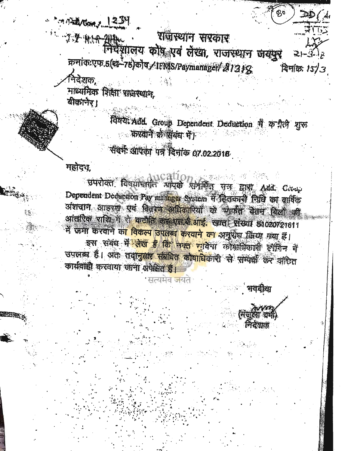**MARATOON, 1234** 

 $DD/A$ 

 $\sqrt{1 + 1}$ 

राज्य असी सीक्षिपलय कोष एवं लेखा, राजस्थान जयपुर क्रमांकःएफ.5(श-75)कौष /IEMS/Paymanaget/21318 दिनीकः 15/3 निदेशक, माध्यमिक शिक्षा राजस्थान, बीकानेर।

विषयः Add. Group Dependent Deduction में कड़ीली शुरु ं करवाने *के* संबंध में।

## संदर्भ आपका पत्र दिनांक 07.02.2018

## महोदय,

उपरोक्त विषयानगत अयके **RIVING USE EINT Add. Creep** Dependent Deduction Pay manager System में दिलकारी निधि का वार्षिक अंशचान आहरण एवं विजय अधिकारियों के मार्फत वैतन किलों की आंतरिक राशि में से करोति कर एस.बी.आई. खाता संख्या 51020721611 में जमा करवाने क<mark>ा विकल्प उपलब्ध करवाने का अनुस</mark>ंध किया मया हैं। इस संबंध मे<mark>ं लेख हैं कि नगत गावे</mark>या कोशांपिकारी इंग्रेजिन में उपलब्ध हैं। अतः तदानुसार संबंधित कोषाधिकारी से सम्पेक्ष कर अधित कार्यवाही करवाया जाना अपेक्षित हैं।

भवदीया

<u> निर्देशक</u>

सत्यमेव जयत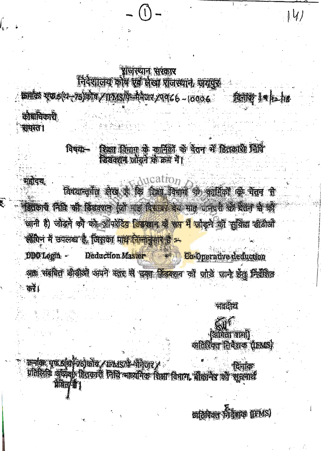## प्राजस्थान संरकार निदेशालय कोष एक लेखा राजस्थान, जयपुर

क्रमांक एक ६(थ-१५)कोष शामपार्थी मैनेजर श्रयद्र ८ - 1000 ८ कीशांचिकारी

सम्मदन

### शिक्षा विभाग के कार्मिकों के पैतन में हितकारी जिपि विषयः-डिसक्शन जोड़ने के क्रम में।

 $\alpha$  Aucation **अजल्ल** विषयान्तर्गत लेख है कि पिमा विषाग के कार्मिकों के वेतन से दिवकारी निधि की डिडक्शन (जो गांड दिसमार देय माइ जनवरी के बैचन भी की जानी है) जोड़ने को को ऑपरेटिव डिडव्हान के रू<mark>प में जो</mark>ड़ने की सुविधा डीडीओ लीपेन में उपलब्ध है, जिसका पाथ निम्नानुसार हैं =

Deduction Master Co Operative deduction DDO Login -अतः संबंधित डीडीओं अपने स्तर में घनत डिडक्शन को जोड़े जाने हेतु निरंशित  $\overrightarrow{apx}$ 

प्रतिलिपि अध्येक्/ डितकारी निधि मार्थ्यमेक विमा विमाग, बीकानेप को भूमनार्थ

कर्माक एक डांशी रहीकोष, पत्र प्रश्ने मेतेजर ?

Hun's

भवतीय **Ciffici and** अतिरिक्त निवेशक (IBMS)  $|V|$ 

अतिबिक्त निवेशक (IFMS)